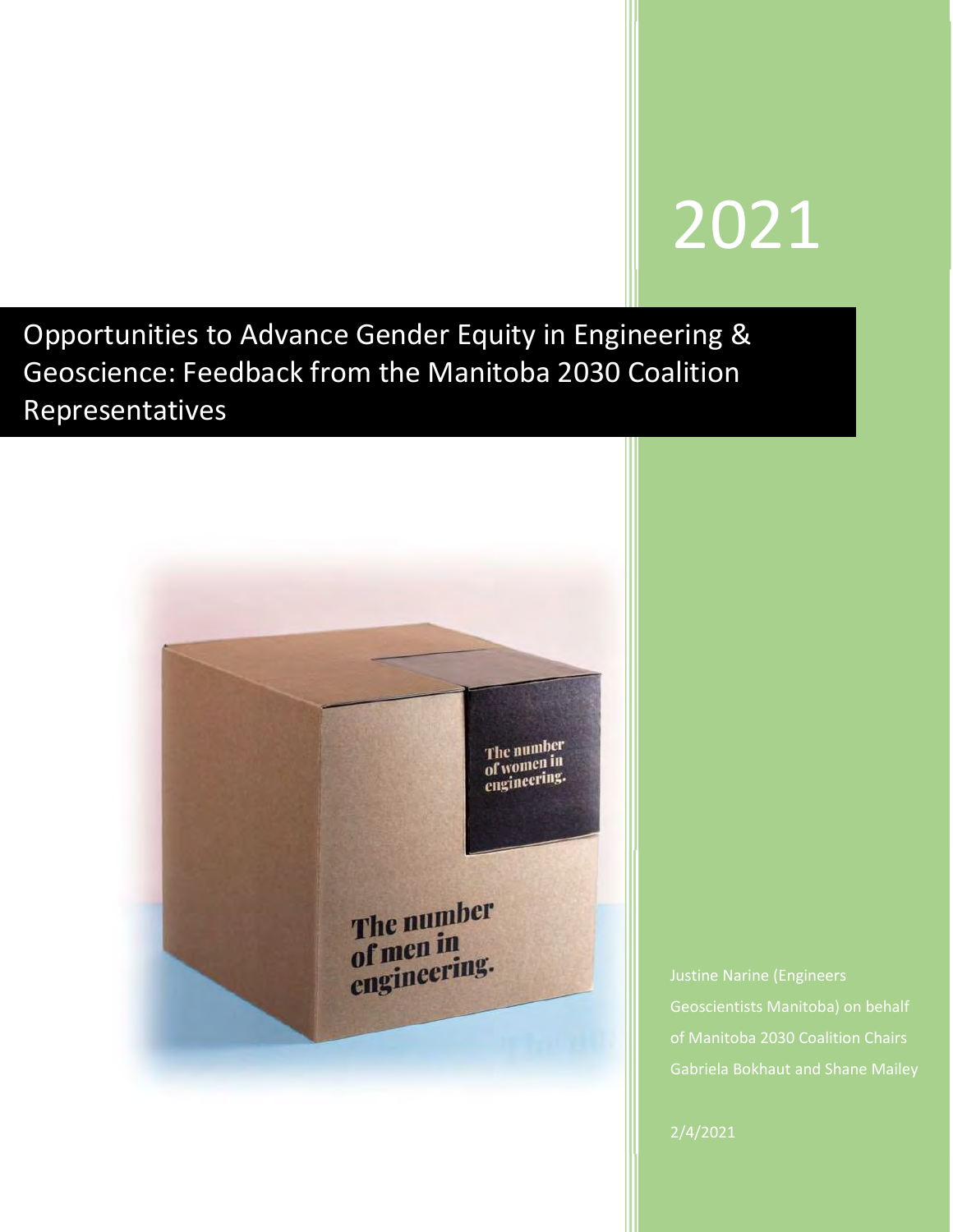# 2021

Opportunities to Advance Gender Equity in Engineering & Geoscience: Feedback from the Manitoba 2030 Coalition Representatives



of Manitoba 2030 Coalition Chairs Gabriela Bokhaut and Shane Mailey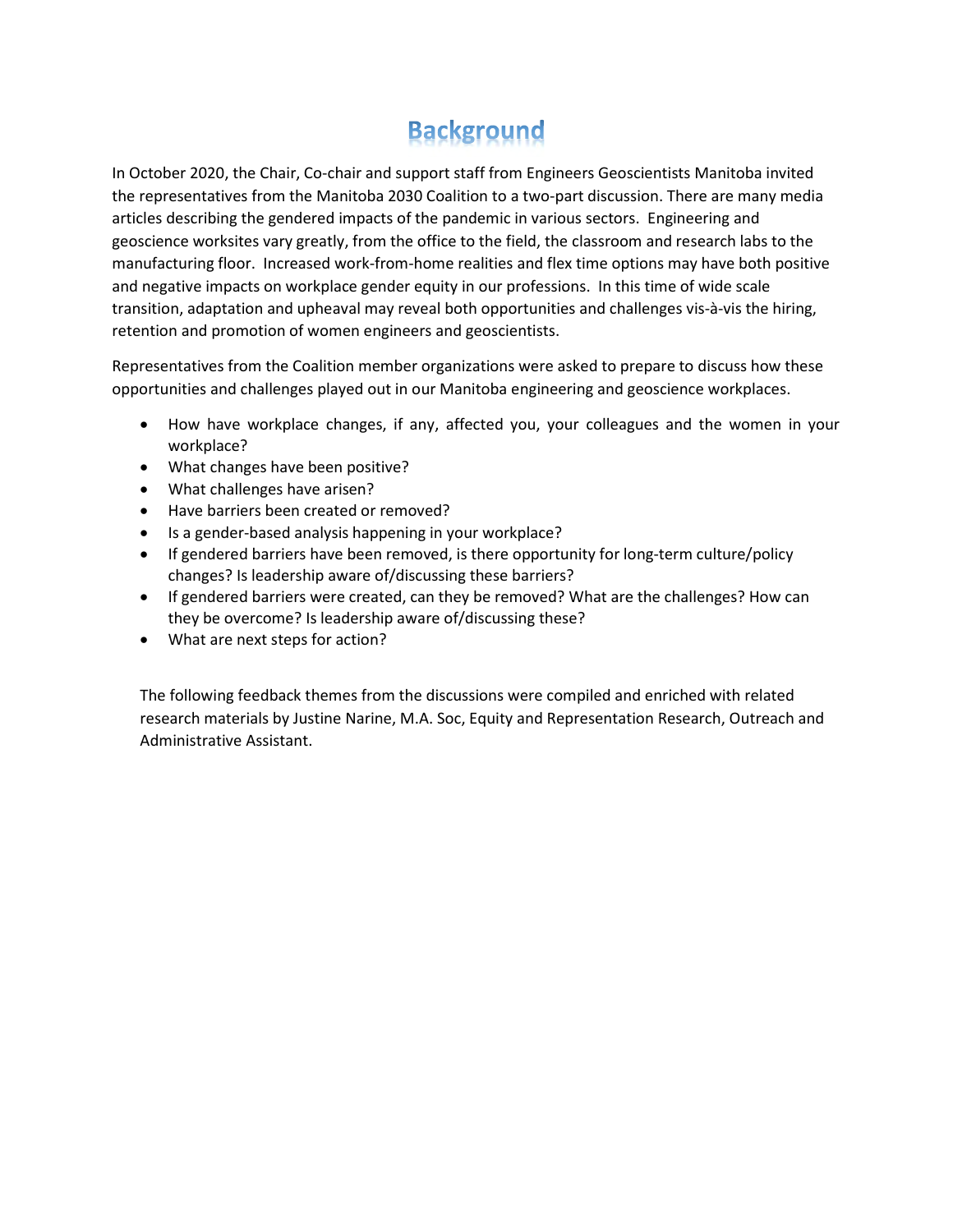## **Background**

In October 2020, the Chair, Co-chair and support staff from Engineers Geoscientists Manitoba invited the representatives from the Manitoba 2030 Coalition to a two-part discussion. There are many media articles describing the gendered impacts of the pandemic in various sectors. Engineering and geoscience worksites vary greatly, from the office to the field, the classroom and research labs to the manufacturing floor. Increased work-from-home realities and flex time options may have both positive and negative impacts on workplace gender equity in our professions. In this time of wide scale transition, adaptation and upheaval may reveal both opportunities and challenges vis-à-vis the hiring, retention and promotion of women engineers and geoscientists.

Representatives from the Coalition member organizations were asked to prepare to discuss how these opportunities and challenges played out in our Manitoba engineering and geoscience workplaces.

- How have workplace changes, if any, affected you, your colleagues and the women in your workplace?
- What changes have been positive?
- What challenges have arisen?
- Have barriers been created or removed?
- Is a gender-based analysis happening in your workplace?
- If gendered barriers have been removed, is there opportunity for long-term culture/policy changes? Is leadership aware of/discussing these barriers?
- If gendered barriers were created, can they be removed? What are the challenges? How can they be overcome? Is leadership aware of/discussing these?
- What are next steps for action?

The following feedback themes from the discussions were compiled and enriched with related research materials by Justine Narine, M.A. Soc, Equity and Representation Research, Outreach and Administrative Assistant.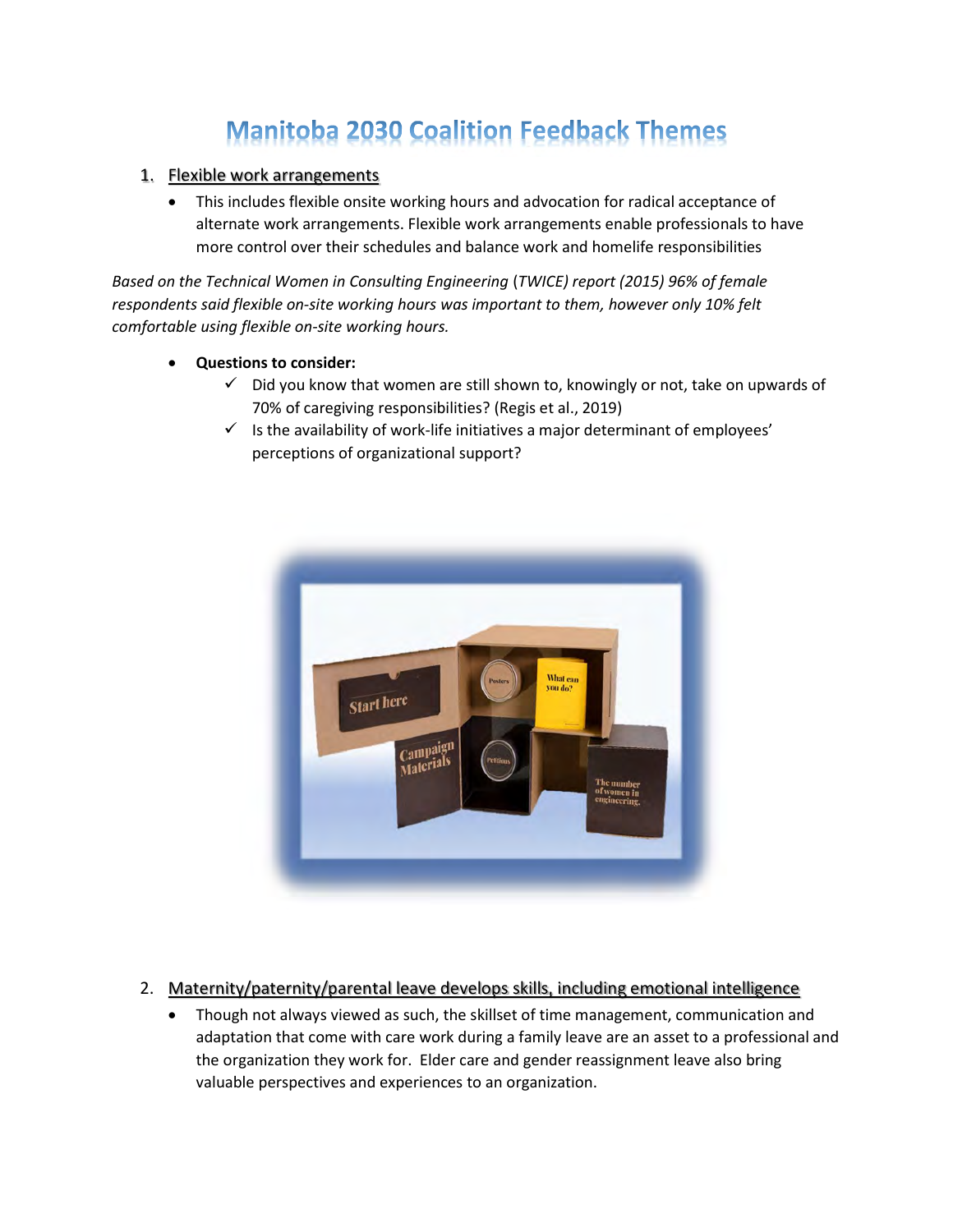# **Manitoba 2030 Coalition Feedback Themes**

#### 1. Flexible work arrangements

 This includes flexible onsite working hours and advocation for radical acceptance of alternate work arrangements. Flexible work arrangements enable professionals to have more control over their schedules and balance work and homelife responsibilities

Based on the Technical Women in Consulting Engineering (TWICE) report (2015) 96% of female respondents said flexible on-site working hours was important to them, however only 10% felt comfortable using flexible on-site working hours.

- Questions to consider:
	- $\checkmark$  Did you know that women are still shown to, knowingly or not, take on upwards of 70% of caregiving responsibilities? (Regis et al., 2019)
	- $\checkmark$  is the availability of work-life initiatives a major determinant of employees' perceptions of organizational support?



### 2. Maternity/paternity/parental leave develops skills, including emotional intelligence

 Though not always viewed as such, the skillset of time management, communication and adaptation that come with care work during a family leave are an asset to a professional and the organization they work for. Elder care and gender reassignment leave also bring valuable perspectives and experiences to an organization.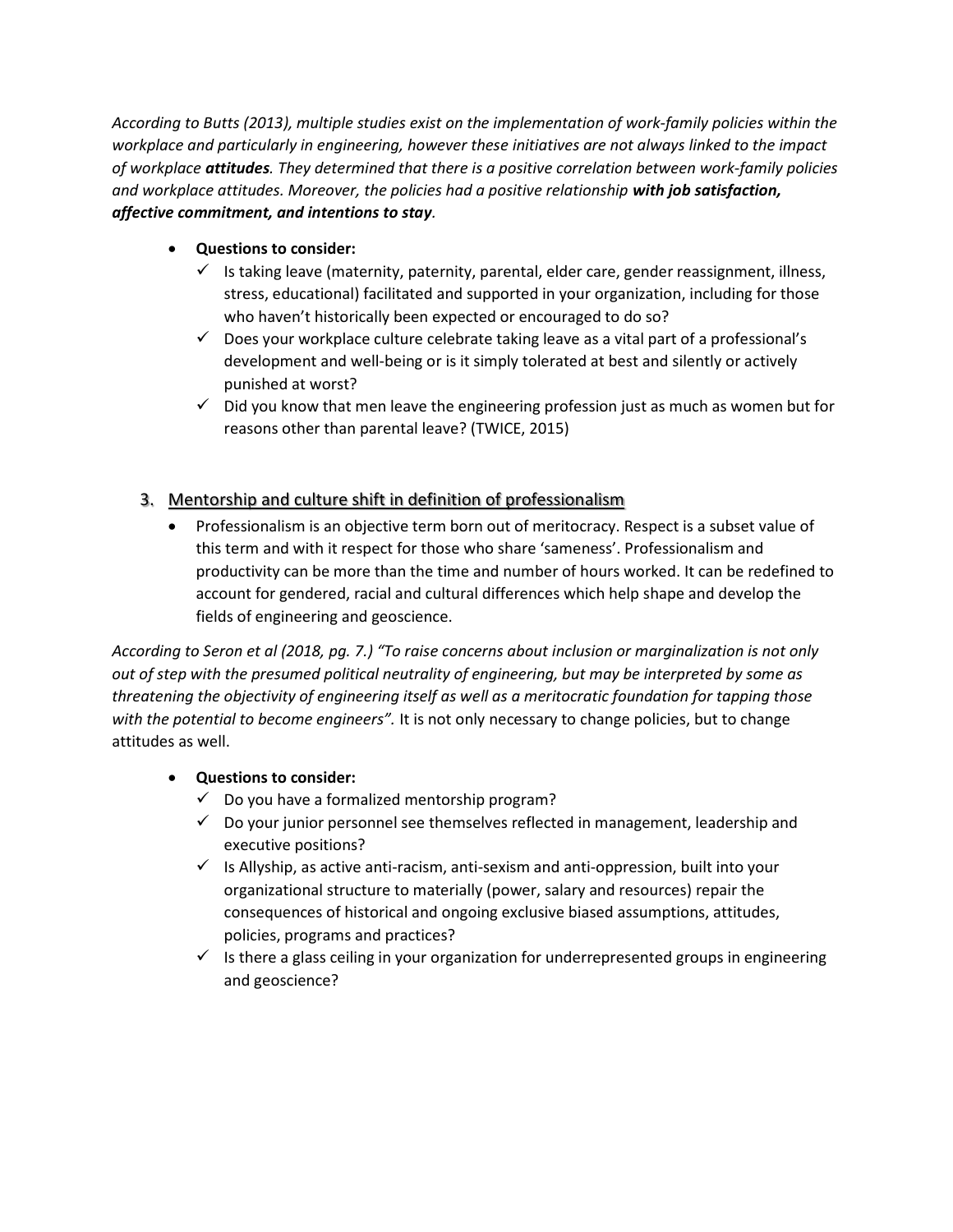According to Butts (2013), multiple studies exist on the implementation of work-family policies within the workplace and particularly in engineering, however these initiatives are not always linked to the impact of workplace attitudes. They determined that there is a positive correlation between work-family policies and workplace attitudes. Moreover, the policies had a positive relationship with job satisfaction, affective commitment, and intentions to stay.

- Questions to consider:
	- $\checkmark$  Is taking leave (maternity, paternity, parental, elder care, gender reassignment, illness, stress, educational) facilitated and supported in your organization, including for those who haven't historically been expected or encouraged to do so?
	- $\checkmark$  Does your workplace culture celebrate taking leave as a vital part of a professional's development and well-being or is it simply tolerated at best and silently or actively punished at worst?
	- $\checkmark$  Did you know that men leave the engineering profession just as much as women but for reasons other than parental leave? (TWICE, 2015)

## 3. Mentorship and culture shift in definition of professionalism

 Professionalism is an objective term born out of meritocracy. Respect is a subset value of this term and with it respect for those who share 'sameness'. Professionalism and productivity can be more than the time and number of hours worked. It can be redefined to account for gendered, racial and cultural differences which help shape and develop the fields of engineering and geoscience.

According to Seron et al (2018, pg. 7.) "To raise concerns about inclusion or marginalization is not only out of step with the presumed political neutrality of engineering, but may be interpreted by some as threatening the objectivity of engineering itself as well as a meritocratic foundation for tapping those with the potential to become engineers". It is not only necessary to change policies, but to change attitudes as well.

### Questions to consider:

- $\checkmark$  Do you have a formalized mentorship program?
- $\checkmark$  Do your junior personnel see themselves reflected in management, leadership and executive positions?
- $\checkmark$  Is Allyship, as active anti-racism, anti-sexism and anti-oppression, built into your organizational structure to materially (power, salary and resources) repair the consequences of historical and ongoing exclusive biased assumptions, attitudes, policies, programs and practices?
- $\checkmark$  Is there a glass ceiling in your organization for underrepresented groups in engineering and geoscience?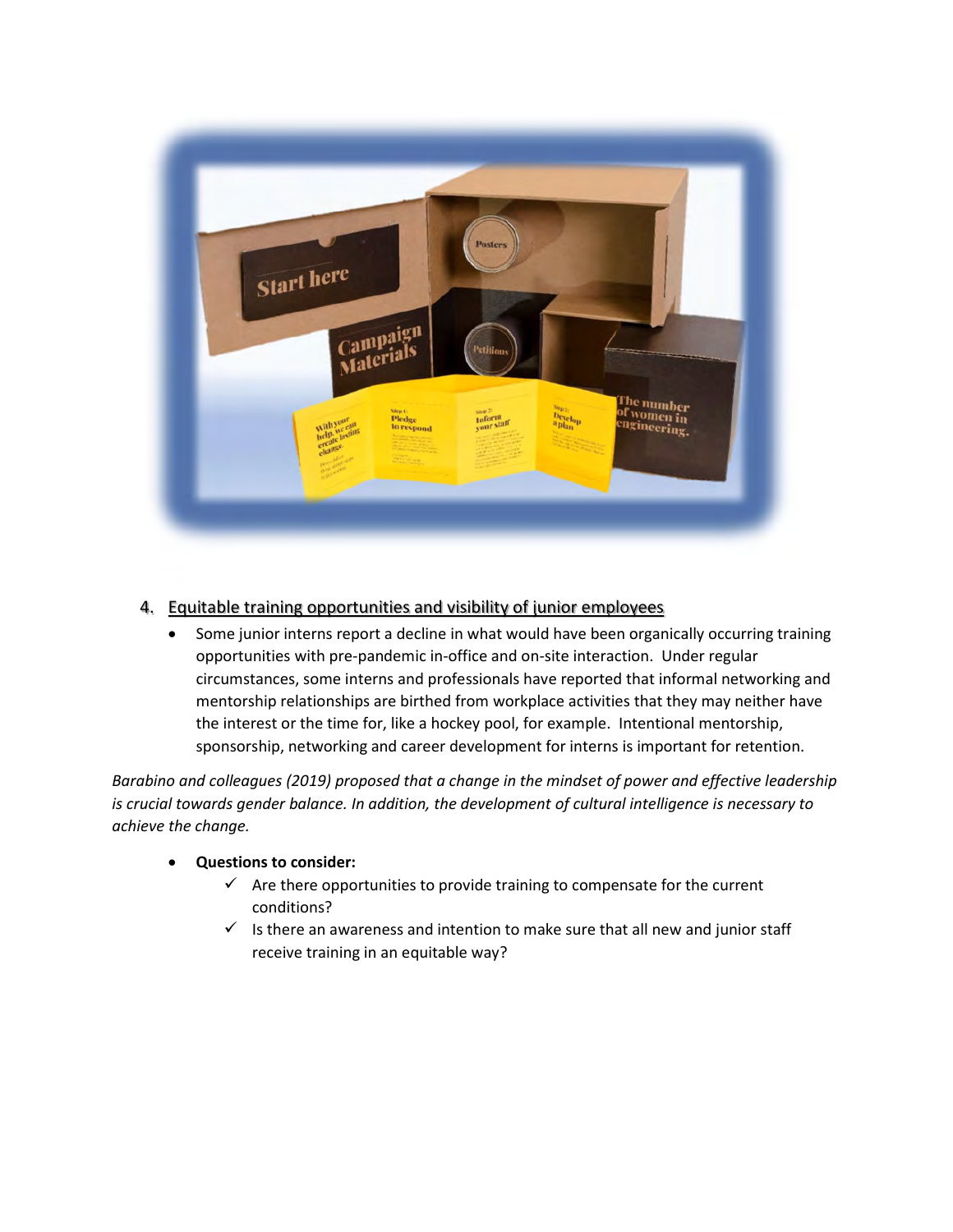

### 4. Equitable training opportunities and visibility of junior employees

• Some junior interns report a decline in what would have been organically occurring training opportunities with pre-pandemic in-office and on-site interaction. Under regular circumstances, some interns and professionals have reported that informal networking and mentorship relationships are birthed from workplace activities that they may neither have the interest or the time for, like a hockey pool, for example. Intentional mentorship, sponsorship, networking and career development for interns is important for retention.

Barabino and colleagues (2019) proposed that a change in the mindset of power and effective leadership is crucial towards gender balance. In addition, the development of cultural intelligence is necessary to achieve the change.

#### Questions to consider:

- $\checkmark$  Are there opportunities to provide training to compensate for the current conditions?
- $\checkmark$  Is there an awareness and intention to make sure that all new and junior staff receive training in an equitable way?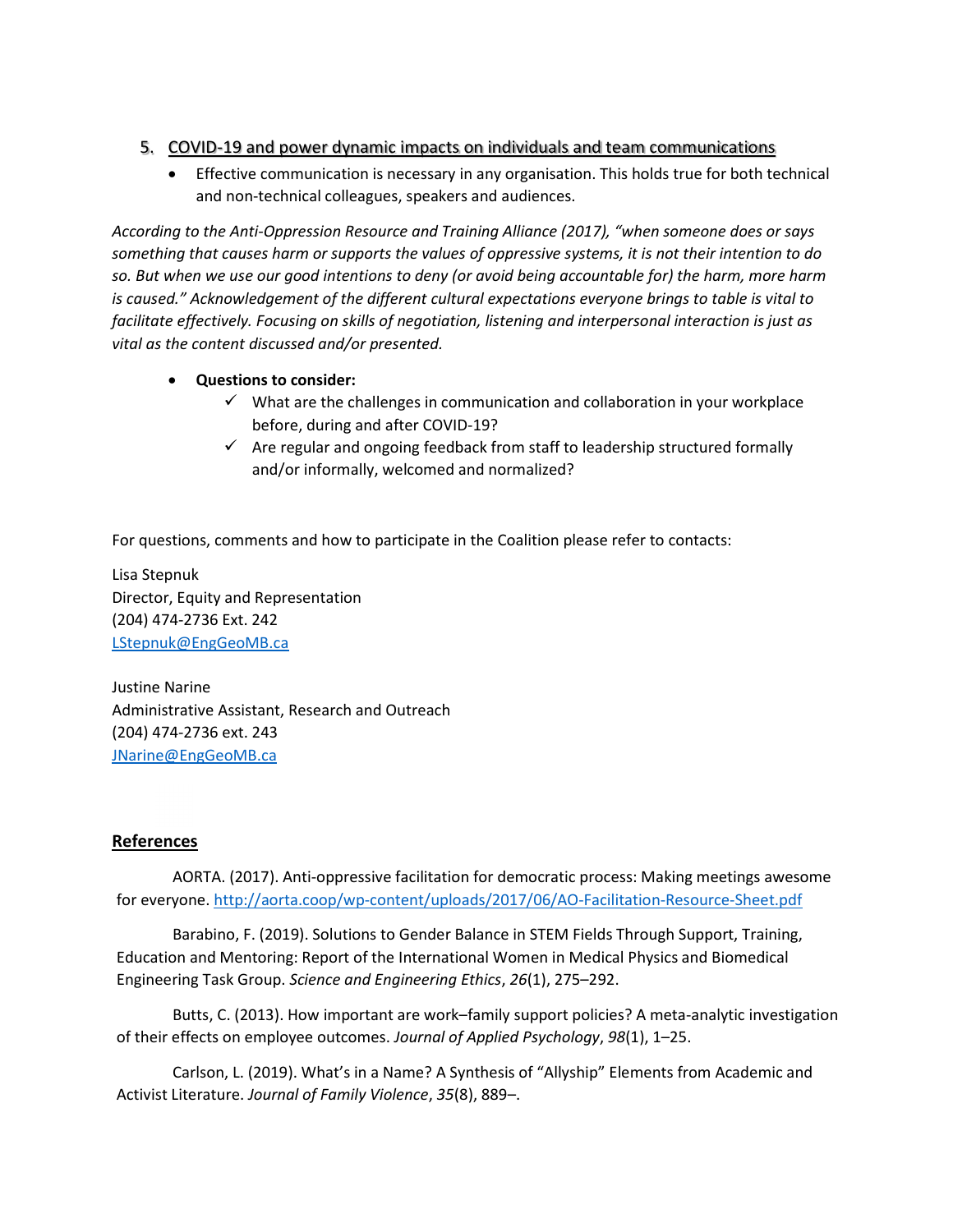#### 5. COVID-19 and power dynamic impacts on individuals and team communications

 Effective communication is necessary in any organisation. This holds true for both technical and non-technical colleagues, speakers and audiences.

According to the Anti-Oppression Resource and Training Alliance (2017), "when someone does or says something that causes harm or supports the values of oppressive systems, it is not their intention to do so. But when we use our good intentions to deny (or avoid being accountable for) the harm, more harm is caused." Acknowledgement of the different cultural expectations everyone brings to table is vital to facilitate effectively. Focusing on skills of negotiation, listening and interpersonal interaction is just as vital as the content discussed and/or presented.

- Questions to consider:
	- $\checkmark$  What are the challenges in communication and collaboration in your workplace before, during and after COVID-19?
	- $\checkmark$  Are regular and ongoing feedback from staff to leadership structured formally and/or informally, welcomed and normalized?

For questions, comments and how to participate in the Coalition please refer to contacts:

Lisa Stepnuk Director, Equity and Representation (204) 474-2736 Ext. 242 LStepnuk@EngGeoMB.ca

Justine Narine Administrative Assistant, Research and Outreach (204) 474-2736 ext. 243 JNarine@EngGeoMB.ca

#### References

AORTA. (2017). Anti-oppressive facilitation for democratic process: Making meetings awesome for everyone. http://aorta.coop/wp-content/uploads/2017/06/AO-Facilitation-Resource-Sheet.pdf

Barabino, F. (2019). Solutions to Gender Balance in STEM Fields Through Support, Training, Education and Mentoring: Report of the International Women in Medical Physics and Biomedical Engineering Task Group. Science and Engineering Ethics, 26(1), 275–292.

Butts, C. (2013). How important are work–family support policies? A meta-analytic investigation of their effects on employee outcomes. Journal of Applied Psychology, 98(1), 1–25.

Carlson, L. (2019). What's in a Name? A Synthesis of "Allyship" Elements from Academic and Activist Literature. Journal of Family Violence, 35(8), 889–.